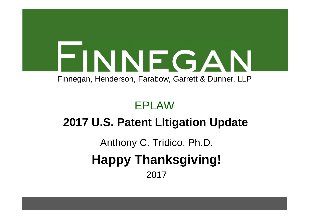

Finnegan, Henderson, Farabow, Garrett & Dunner, LLP

#### EPLAW

### **2017 U.S. Patent LItigation Update**

# Anthony C. Tridico, Ph.D. **Happy Thanksgiving!** 2017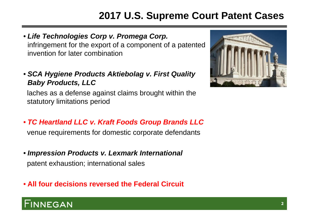#### **2017 U.S. Supreme Court Patent Cases**

- *Life Technologies Corp v. Promega Corp.* infringement for the export of a component of a patented invention for later combination
- *SCA Hygiene Products Aktiebolag v. First Quality Baby Products, LLC*

laches as a defense against claims brought within the statutory limitations period

• *TC Heartland LLC v. Kraft Foods Group Brands LLC*

venue requirements for domestic corporate defendants

• *Impression Products v. Lexmark International* patent exhaustion; international sales

• **All four decisions reversed the Federal Circuit**



#### **NEGAN**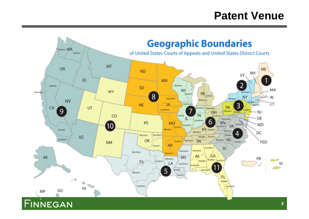#### **Patent Venue**



**33**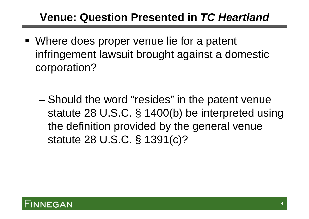#### **Venue: Question Presented in** *TC Heartland*

- Where does proper venue lie for a patent infringement lawsuit brought against a domestic corporation?
	- Should the word "resides" in the patent venue statute 28 U.S.C. § 1400(b) be interpreted using the definition provided by the general venue statute 28 U.S.C. § 1391(c)?

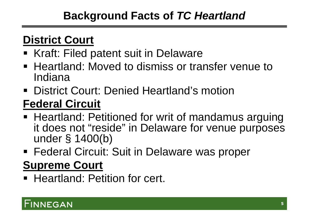#### **Background Facts of** *TC Heartland*

### **District Court**

- Kraft: Filed patent suit in Delaware
- Heartland: Moved to dismiss or transfer venue to Indiana
- **District Court: Denied Heartland's motion**

# **Federal Circuit**

- **Heartland: Petitioned for writ of mandamus arguing** it does not "reside" in Delaware for venue purposes under § 1400(b)
- **Federal Circuit: Suit in Delaware was proper**

# **Supreme Court**

**Heartland: Petition for cert.** 

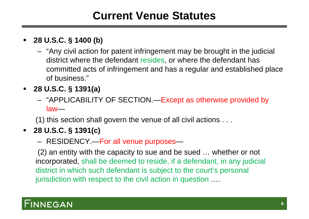#### **Current Venue Statutes**

#### **28 U.S.C. § 1400 (b)**

- "Any civil action for patent infringement may be brought in the judicial district where the defendant resides, or where the defendant has committed acts of infringement and has a regular and established place of business."
- **28 U.S.C. § 1391(a)**
	- "APPLICABILITY OF SECTION.—Except as otherwise provided by law—

(1) this section shall govern the venue of all civil actions . . .

#### **28 U.S.C. § 1391(c)**

– RESIDENCY.—For all venue purposes—

(2) an entity with the capacity to sue and be sued … whether or not incorporated, shall be deemed to reside, if a defendant, in any judicial district in which such defendant is subject to the court's personal jurisdiction with respect to the civil action in question ….

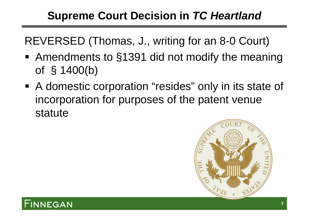### **Supreme Court Decision in** *TC Heartland*

REVERSED (Thomas, J., writing for an 8-0 Court)

- Amendments to §1391 did not modify the meaning of § 1400(b)
- A domestic corporation "resides" only in its state of incorporation for purposes of the patent venue statute



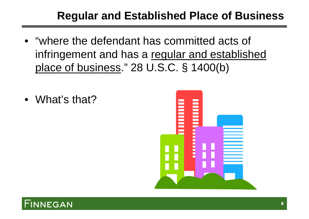#### **Regular and Established Place of Business**

- "where the defendant has committed acts of infringement and has a regular and established place of business." 28 U.S.C. § 1400(b)
- What's that?



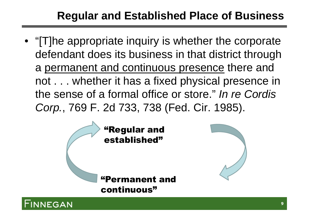### **Regular and Established Place of Business**

• "[T]he appropriate inquiry is whether the corporate defendant does its business in that district through a permanent and continuous presence there and not . . . whether it has a fixed physical presence in the sense of a formal office or store." *In re Cordis Corp.*, 769 F. 2d 733, 738 (Fed. Cir. 1985).



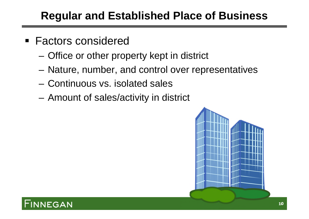#### **Regular and Established Place of Business**

- Factors considered
	- Office or other property kept in district
	- Nature, number, and control over representatives
	- Continuous vs. isolated sales
	- Amount of sales/activity in district



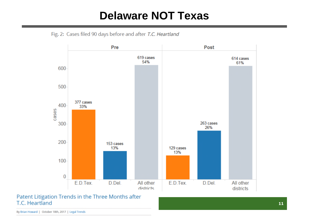#### **Delaware NOT Texas**





Patent Litigation Trends in the Three Months after T.C. Heartland

By Brian Howard | October 18th, 2017 | Legal Trends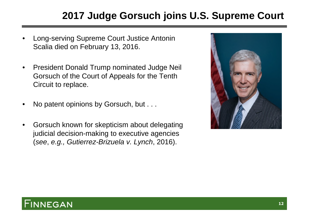#### **2017 Judge Gorsuch joins U.S. Supreme Court**

- Long-serving Supreme Court Justice Antonin Scalia died on February 13, 2016.
- President Donald Trump nominated Judge Neil Gorsuch of the Court of Appeals for the Tenth Circuit to replace.
- No patent opinions by Gorsuch, but . . .
- Gorsuch known for skepticism about delegating judicial decision-making to executive agencies (*see*, *e.g., Gutierrez-Brizuela v. Lynch*, 2016).



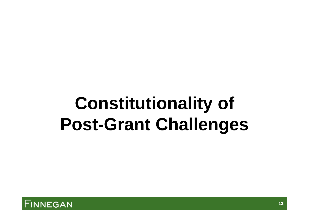# **Constitutionality of Post-Grant Challenges**

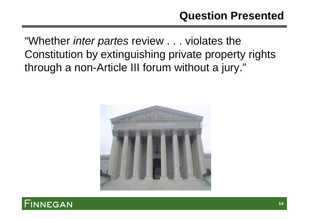#### **Question Presented**

"Whether *inter partes* review . . . violates the Constitution by extinguishing private property rights through a non-Article III forum without a jury."



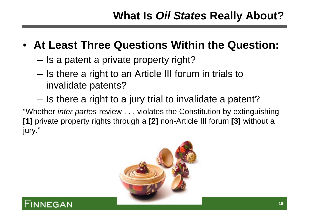#### • **At Least Three Questions Within the Question:**

- Is a patent a private property right?
- Is there a right to an Article III forum in trials to invalidate patents?
- Is there a right to a jury trial to invalidate a patent?

"Whether *inter partes* review . . . violates the Constitution by extinguishing **[1]** private property rights through a **[2]** non-Article III forum **[3]** without a jury."



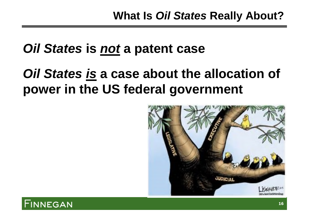# *Oil States* **is** *not* **a patent case**

# *Oil States is* **a case about the allocation of power in the US federal government**



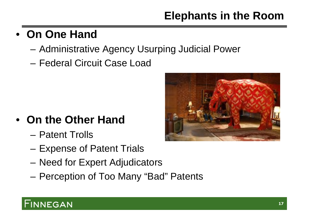## **Elephants in the Room**

### • **On One Hand**

- Administrative Agency Usurping Judicial Power
- Federal Circuit Case Load

- **On the Other Hand**
	- Patent Trolls
	- Expense of Patent Trials
	- Need for Expert Adjudicators
	- Perception of Too Many "Bad" Patents

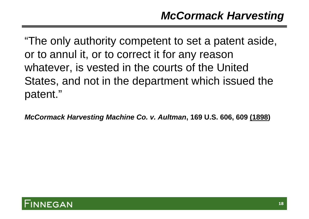"The only authority competent to set a patent aside, or to annul it, or to correct it for any reason whatever, is vested in the courts of the United States, and not in the department which issued the patent."

*McCormack Harvesting Machine Co. v. Aultman***, 169 U.S. 606, 609 (1898)**

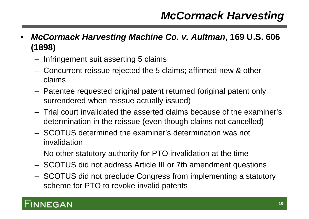#### *McCormack Harvesting*

- *McCormack Harvesting Machine Co. v. Aultman***, 169 U.S. 606 (1898)**
	- Infringement suit asserting 5 claims
	- Concurrent reissue rejected the 5 claims; affirmed new & other claims
	- Patentee requested original patent returned (original patent only surrendered when reissue actually issued)
	- Trial court invalidated the asserted claims because of the examiner's determination in the reissue (even though claims not cancelled)
	- SCOTUS determined the examiner's determination was not invalidation
	- No other statutory authority for PTO invalidation at the time
	- SCOTUS did not address Article III or 7th amendment questions
	- SCOTUS did not preclude Congress from implementing a statutory scheme for PTO to revoke invalid patents

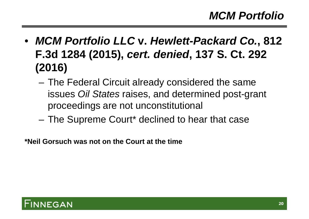- *MCM Portfolio LLC* **v.** *Hewlett-Packard Co.***, 812 F.3d 1284 (2015),** *cert. denied***, 137 S. Ct. 292 (2016)**
	- The Federal Circuit already considered the same issues *Oil States* raises, and determined post-grant proceedings are not unconstitutional
	- The Supreme Court\* declined to hear that case

**\*Neil Gorsuch was not on the Court at the time**

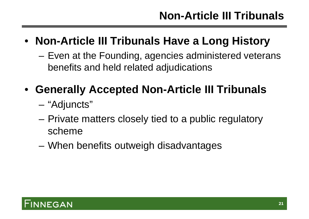### • **Non-Article III Tribunals Have a Long History**

– Even at the Founding, agencies administered veterans benefits and held related adjudications

### • **Generally Accepted Non-Article III Tribunals**

- "Adjuncts"
- Private matters closely tied to a public regulatory scheme
- When benefits outweigh disadvantages

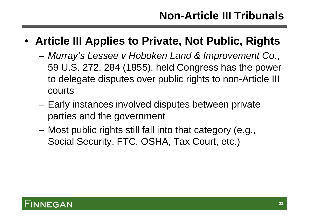#### • **Article III Applies to Private, Not Public, Rights**

- *Murray's Lessee v Hoboken Land & Improvement Co.*, 59 U.S. 272, 284 (1855), held Congress has the power to delegate disputes over public rights to non-Article III courts
- Early instances involved disputes between private parties and the government
- Most public rights still fall into that category (e.g., Social Security, FTC, OSHA, Tax Court, etc.)

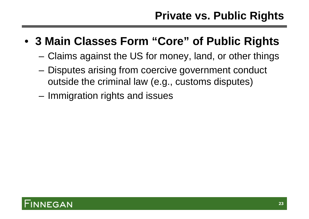- **3 Main Classes Form "Core" of Public Rights**
	- Claims against the US for money, land, or other things
	- Disputes arising from coercive government conduct outside the criminal law (e.g., customs disputes)
	- Immigration rights and issues

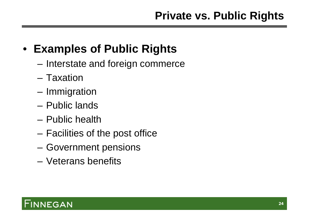## • **Examples of Public Rights**

- Interstate and foreign commerce
- Taxation
- Immigration
- Public lands
- Public health
- Facilities of the post office
- Government pensions
- Veterans benefits

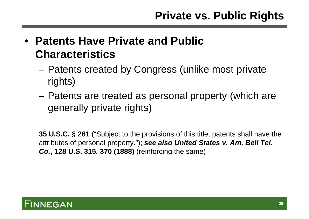- **Patents Have Private and Public Characteristics**
	- Patents created by Congress (unlike most private rights)
	- Patents are treated as personal property (which are generally private rights)

**35 U.S.C. § 261** ("Subject to the provisions of this title, patents shall have the attributes of personal property."); *see also United States v. Am. Bell Tel. Co.***, 128 U.S. 315, 370 (1888)** (reinforcing the same)

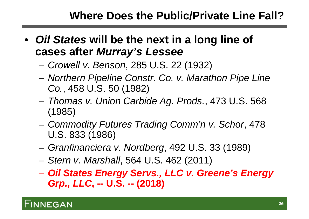#### **Where Does the Public/Private Line Fall?**

- *Oil States* **will be the next in a long line of cases after** *Murray's Lessee*
	- *Crowell v. Benson*, 285 U.S. 22 (1932)
	- *Northern Pipeline Constr. Co. v. Marathon Pipe Line Co.*, 458 U.S. 50 (1982)
	- *Thomas v. Union Carbide Ag. Prods.*, 473 U.S. 568 (1985)
	- *Commodity Futures Trading Comm'n v. Schor*, 478 U.S. 833 (1986)
	- *Granfinanciera v. Nordberg*, 492 U.S. 33 (1989)
	- *Stern v. Marshall*, 564 U.S. 462 (2011)
	- *Oil States Energy Servs., LLC v. Greene's Energy Grp., LLC***, -- U.S. -- (2018)**

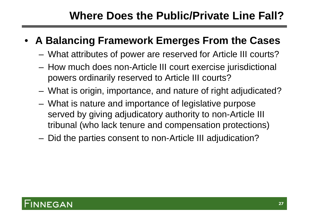#### **Where Does the Public/Private Line Fall?**

#### • **A Balancing Framework Emerges From the Cases**

- What attributes of power are reserved for Article III courts?
- How much does non-Article III court exercise jurisdictional powers ordinarily reserved to Article III courts?
- What is origin, importance, and nature of right adjudicated?
- What is nature and importance of legislative purpose served by giving adjudicatory authority to non-Article III tribunal (who lack tenure and compensation protections)
- Did the parties consent to non-Article III adjudication?

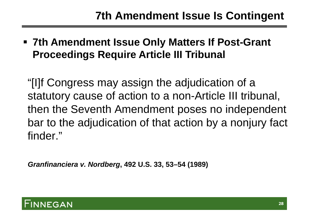**7th Amendment Issue Only Matters If Post-Grant Proceedings Require Article III Tribunal**

"[I]f Congress may assign the adjudication of a statutory cause of action to a non-Article III tribunal, then the Seventh Amendment poses no independent bar to the adjudication of that action by a nonjury fact finder."

*Granfinanciera v. Nordberg***, 492 U.S. 33, 53–54 (1989)**

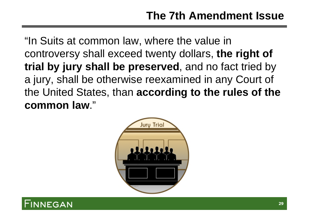"In Suits at common law, where the value in controversy shall exceed twenty dollars, **the right of trial by jury shall be preserved**, and no fact tried by a jury, shall be otherwise reexamined in any Court of the United States, than **according to the rules of the common law**."



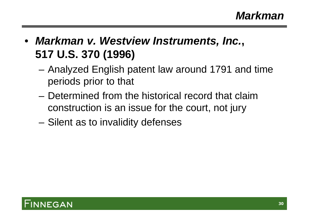- *Markman v. Westview Instruments, Inc.***, 517 U.S. 370 (1996)**
	- Analyzed English patent law around 1791 and time periods prior to that
	- Determined from the historical record that claim construction is an issue for the court, not jury
	- Silent as to invalidity defenses

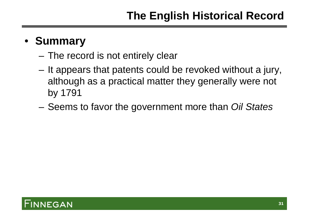#### • **Summary**

- The record is not entirely clear
- It appears that patents could be revoked without a jury, although as a practical matter they generally were not by 1791
- Seems to favor the government more than *Oil States*

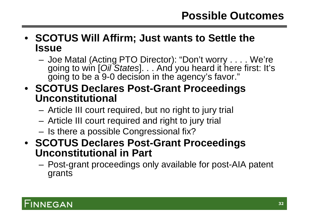#### **Possible Outcomes**

- **SCOTUS Will Affirm; Just wants to Settle the Issue**
	- Joe Matal (Acting PTO Director): "Don't worry . . . . We're going to win [*Oil States*]. . . And you heard it here first: It's going to be a 9-0 decision in the agency's favor."
- **SCOTUS Declares Post-Grant Proceedings Unconstitutional**
	- Article III court required, but no right to jury trial
	- Article III court required and right to jury trial
	- Is there a possible Congressional fix?
- **SCOTUS Declares Post-Grant Proceedings Unconstitutional in Part**
	- Post-grant proceedings only available for post-AIA patent grants

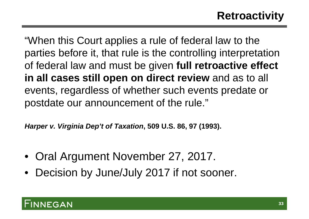### **Retroactivity**

"When this Court applies a rule of federal law to the parties before it, that rule is the controlling interpretation of federal law and must be given **full retroactive effect in all cases still open on direct review** and as to all events, regardless of whether such events predate or postdate our announcement of the rule."

*Harper v. Virginia Dep't of Taxation***, 509 U.S. 86, 97 (1993).**

- Oral Argument November 27, 2017.
- Decision by June/July 2017 if not sooner.

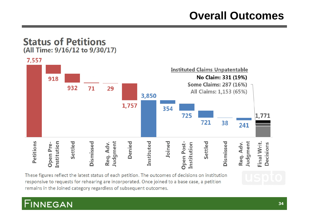#### **Overall Outcomes**

#### **Status of Petitions** (All Time: 9/16/12 to 9/30/17)



These figures reflect the latest status of each petition. The outcomes of decisions on institution responsive to requests for rehearing are incorporated. Once joined to a base case, a petition remains in the Joined category regardless of subsequent outcomes.

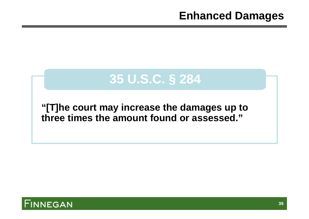#### **Enhanced Damages**

# **35 U.S.C. § 284**

#### **"[T]he court may increase the damages up to three times the amount found or assessed."**

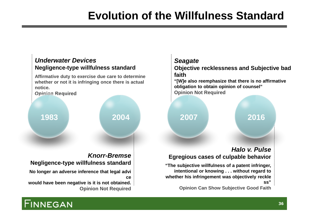### **Evolution of the Willfulness Standard**

#### *Underwater Devices* **Negligence-type willfulness standard**

**Affirmative duty to exercise due care to determine whether or not it is infringing once there is actual notice.**

**Opinion Required**



#### *Knorr-Bremse*

#### **Negligence-type willfulness standard**

- **No longer an adverse inference that legal advi ce**
- **would have been negative is it is not obtained. Opinion Not Required**

#### *Seagate*

**Objective recklessness and Subjective bad faith**

**"[W]e also reemphasize that there is no affirmative obligation to obtain opinion of counsel" Opinion Not Required**

#### *Halo v. Pulse* **Egregious cases of culpable behavior**

**"The subjective willfulness of a patent infringer, intentional or knowing . . . without regard to whether his infringement was objectively reckle ss"**

**Opinion Can Show Subjective Good Faith**

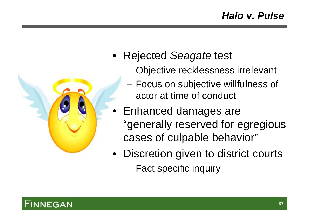

- Rejected *Seagate* test
	- Objective recklessness irrelevant
	- Focus on subjective willfulness of actor at time of conduct
- Enhanced damages are "generally reserved for egregious cases of culpable behavior"
- Discretion given to district courts
	- Fact specific inquiry

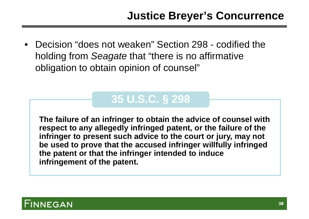• Decision "does not weaken" Section 298 - codified the holding from *Seagate* that "there is no affirmative obligation to obtain opinion of counsel"

### **35 U.S.C. § 298**

**The failure of an infringer to obtain the advice of counsel with respect to any allegedly infringed patent, or the failure of the infringer to present such advice to the court or jury, may not be used to prove that the accused infringer willfully infringed the patent or that the infringer intended to induce infringement of the patent.**

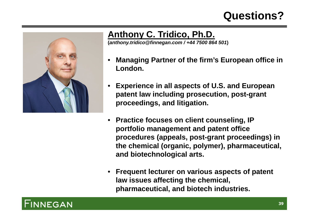#### **Questions?**



#### **Anthony C. Tridico, Ph.D.**

**(***anthony.tridico@finnegan.com / +44 7500 864 501***)**

- **Managing Partner of the firm's European office in London.**
- **Experience in all aspects of U.S. and European patent law including prosecution, post-grant proceedings, and litigation.**
- **Practice focuses on client counseling, IP portfolio management and patent office procedures (appeals, post-grant proceedings) in the chemical (organic, polymer), pharmaceutical, and biotechnological arts.**
- **Frequent lecturer on various aspects of patent law issues affecting the chemical, pharmaceutical, and biotech industries.**